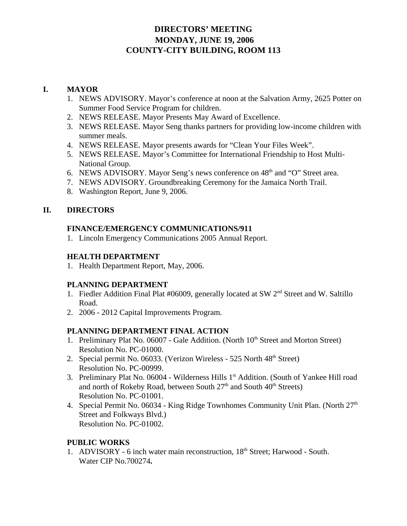# **DIRECTORS' MEETING MONDAY, JUNE 19, 2006 COUNTY-CITY BUILDING, ROOM 113**

# **I. MAYOR**

- 1. NEWS ADVISORY. Mayor's conference at noon at the Salvation Army, 2625 Potter on Summer Food Service Program for children.
- 2. NEWS RELEASE. Mayor Presents May Award of Excellence.
- 3. NEWS RELEASE. Mayor Seng thanks partners for providing low-income children with summer meals.
- 4. NEWS RELEASE. Mayor presents awards for "Clean Your Files Week".
- 5. NEWS RELEASE. Mayor's Committee for International Friendship to Host Multi-National Group.
- 6. NEWS ADVISORY. Mayor Seng's news conference on  $48<sup>th</sup>$  and "O" Street area.
- 7. NEWS ADVISORY. Groundbreaking Ceremony for the Jamaica North Trail.
- 8. Washington Report, June 9, 2006.

# **II. DIRECTORS**

# **FINANCE/EMERGENCY COMMUNICATIONS/911**

1. Lincoln Emergency Communications 2005 Annual Report.

# **HEALTH DEPARTMENT**

1. Health Department Report, May, 2006.

# **PLANNING DEPARTMENT**

- 1. Fiedler Addition Final Plat #06009, generally located at SW 2<sup>nd</sup> Street and W. Saltillo Road.
- 2. 2006 2012 Capital Improvements Program.

# **PLANNING DEPARTMENT FINAL ACTION**

- 1. Preliminary Plat No. 06007 Gale Addition. (North  $10<sup>th</sup>$  Street and Morton Street) Resolution No. PC-01000.
- 2. Special permit No. 06033. (Verizon Wireless 525 North 48<sup>th</sup> Street) Resolution No. PC-00999.
- 3. Preliminary Plat No. 06004 Wilderness Hills 1<sup>st</sup> Addition. (South of Yankee Hill road and north of Rokeby Road, between South  $27<sup>th</sup>$  and South  $40<sup>th</sup>$  Streets) Resolution No. PC-01001.
- 4. Special Permit No. 06034 King Ridge Townhomes Community Unit Plan. (North  $27<sup>th</sup>$ Street and Folkways Blvd.) Resolution No. PC-01002.

# **PUBLIC WORKS**

1. ADVISORY - 6 inch water main reconstruction, 18<sup>th</sup> Street; Harwood - South. Water CIP No.700274**.**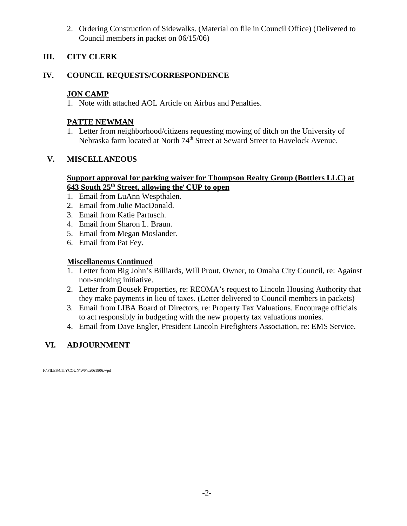2. Ordering Construction of Sidewalks. (Material on file in Council Office) (Delivered to Council members in packet on 06/15/06)

# **III. CITY CLERK**

# **IV. COUNCIL REQUESTS/CORRESPONDENCE**

# **JON CAMP**

1. Note with attached AOL Article on Airbus and Penalties.

# **PATTE NEWMAN**

1. Letter from neighborhood/citizens requesting mowing of ditch on the University of Nebraska farm located at North 74<sup>th</sup> Street at Seward Street to Havelock Avenue.

# **V. MISCELLANEOUS**

### **Support approval for parking waiver for Thompson Realty Group (Bottlers LLC) at 643 South 25th Street, allowing the**0 **CUP to open**

- 1. Email from LuAnn Wespthalen.
- 2. Email from Julie MacDonald.
- 3. Email from Katie Partusch.
- 4. Email from Sharon L. Braun.
- 5. Email from Megan Moslander.
- 6. Email from Pat Fey.

# **Miscellaneous Continued**

- 1. Letter from Big John's Billiards, Will Prout, Owner, to Omaha City Council, re: Against non-smoking initiative.
- 2. Letter from Bousek Properties, re: REOMA's request to Lincoln Housing Authority that they make payments in lieu of taxes. (Letter delivered to Council members in packets)
- 3. Email from LIBA Board of Directors, re: Property Tax Valuations. Encourage officials to act responsibly in budgeting with the new property tax valuations monies.
- 4. Email from Dave Engler, President Lincoln Firefighters Association, re: EMS Service.

# **VI. ADJOURNMENT**

F:\FILES\CITYCOUN\WP\da061906.wpd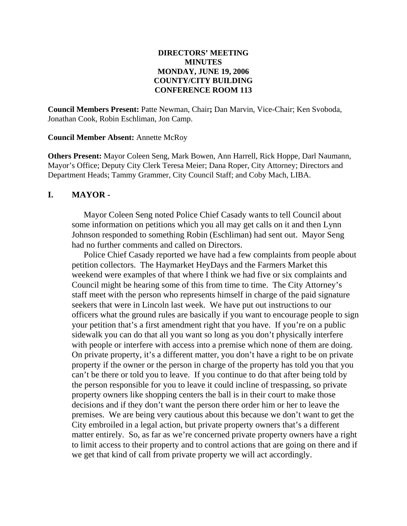### **DIRECTORS' MEETING MINUTES MONDAY, JUNE 19, 2006 COUNTY/CITY BUILDING CONFERENCE ROOM 113**

**Council Members Present:** Patte Newman, Chair**;** Dan Marvin, Vice-Chair; Ken Svoboda, Jonathan Cook, Robin Eschliman, Jon Camp.

**Council Member Absent:** Annette McRoy

**Others Present:** Mayor Coleen Seng, Mark Bowen, Ann Harrell, Rick Hoppe, Darl Naumann, Mayor's Office; Deputy City Clerk Teresa Meier; Dana Roper, City Attorney; Directors and Department Heads; Tammy Grammer, City Council Staff; and Coby Mach, LIBA.

### **I. MAYOR -**

Mayor Coleen Seng noted Police Chief Casady wants to tell Council about some information on petitions which you all may get calls on it and then Lynn Johnson responded to something Robin (Eschliman) had sent out. Mayor Seng had no further comments and called on Directors.

Police Chief Casady reported we have had a few complaints from people about petition collectors. The Haymarket HeyDays and the Farmers Market this weekend were examples of that where I think we had five or six complaints and Council might be hearing some of this from time to time. The City Attorney's staff meet with the person who represents himself in charge of the paid signature seekers that were in Lincoln last week. We have put out instructions to our officers what the ground rules are basically if you want to encourage people to sign your petition that's a first amendment right that you have. If you're on a public sidewalk you can do that all you want so long as you don't physically interfere with people or interfere with access into a premise which none of them are doing. On private property, it's a different matter, you don't have a right to be on private property if the owner or the person in charge of the property has told you that you can't be there or told you to leave. If you continue to do that after being told by the person responsible for you to leave it could incline of trespassing, so private property owners like shopping centers the ball is in their court to make those decisions and if they don't want the person there order him or her to leave the premises. We are being very cautious about this because we don't want to get the City embroiled in a legal action, but private property owners that's a different matter entirely. So, as far as we're concerned private property owners have a right to limit access to their property and to control actions that are going on there and if we get that kind of call from private property we will act accordingly.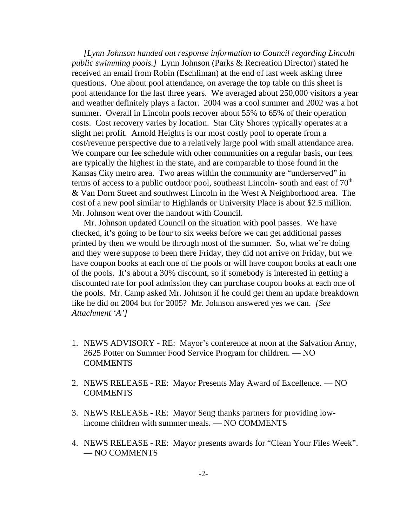*[Lynn Johnson handed out response information to Council regarding Lincoln public swimming pools.]* Lynn Johnson (Parks & Recreation Director) stated he received an email from Robin (Eschliman) at the end of last week asking three questions. One about pool attendance, on average the top table on this sheet is pool attendance for the last three years. We averaged about 250,000 visitors a year and weather definitely plays a factor. 2004 was a cool summer and 2002 was a hot summer. Overall in Lincoln pools recover about 55% to 65% of their operation costs. Cost recovery varies by location. Star City Shores typically operates at a slight net profit. Arnold Heights is our most costly pool to operate from a cost/revenue perspective due to a relatively large pool with small attendance area. We compare our fee schedule with other communities on a regular basis, our fees are typically the highest in the state, and are comparable to those found in the Kansas City metro area. Two areas within the community are "underserved" in terms of access to a public outdoor pool, southeast Lincoln- south and east of  $70<sup>th</sup>$ & Van Dorn Street and southwest Lincoln in the West A Neighborhood area. The cost of a new pool similar to Highlands or University Place is about \$2.5 million. Mr. Johnson went over the handout with Council.

 Mr. Johnson updated Council on the situation with pool passes. We have checked, it's going to be four to six weeks before we can get additional passes printed by then we would be through most of the summer. So, what we're doing and they were suppose to been there Friday, they did not arrive on Friday, but we have coupon books at each one of the pools or will have coupon books at each one of the pools. It's about a 30% discount, so if somebody is interested in getting a discounted rate for pool admission they can purchase coupon books at each one of the pools. Mr. Camp asked Mr. Johnson if he could get them an update breakdown like he did on 2004 but for 2005? Mr. Johnson answered yes we can. *[See Attachment 'A']* 

- 1. NEWS ADVISORY RE: Mayor's conference at noon at the Salvation Army, 2625 Potter on Summer Food Service Program for children. — NO **COMMENTS**
- 2. NEWS RELEASE RE: Mayor Presents May Award of Excellence. NO COMMENTS
- 3. NEWS RELEASE RE: Mayor Seng thanks partners for providing lowincome children with summer meals. — NO COMMENTS
- 4. NEWS RELEASE RE: Mayor presents awards for "Clean Your Files Week". — NO COMMENTS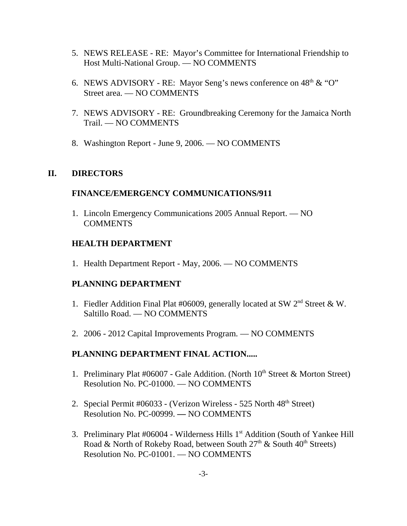- 5. NEWS RELEASE RE: Mayor's Committee for International Friendship to Host Multi-National Group. — NO COMMENTS
- 6. NEWS ADVISORY RE: Mayor Seng's news conference on  $48<sup>th</sup> \& ^{\circ}$  "O" Street area. — NO COMMENTS
- 7. NEWS ADVISORY RE: Groundbreaking Ceremony for the Jamaica North Trail. — NO COMMENTS
- 8. Washington Report June 9, 2006. NO COMMENTS

# **II. DIRECTORS**

### **FINANCE/EMERGENCY COMMUNICATIONS/911**

1. Lincoln Emergency Communications 2005 Annual Report. — NO COMMENTS

# **HEALTH DEPARTMENT**

1. Health Department Report - May, 2006. — NO COMMENTS

# **PLANNING DEPARTMENT**

- 1. Fiedler Addition Final Plat #06009, generally located at SW  $2<sup>nd</sup>$  Street & W. Saltillo Road. — NO COMMENTS
- 2. 2006 2012 Capital Improvements Program. NO COMMENTS

# **PLANNING DEPARTMENT FINAL ACTION.....**

- 1. Preliminary Plat #06007 Gale Addition. (North  $10<sup>th</sup>$  Street & Morton Street) Resolution No. PC-01000. — NO COMMENTS
- 2. Special Permit #06033 (Verizon Wireless 525 North 48th Street) Resolution No. PC-00999. **—** NO COMMENTS
- 3. Preliminary Plat  $\#06004$  Wilderness Hills 1<sup>st</sup> Addition (South of Yankee Hill Road & North of Rokeby Road, between South  $27<sup>th</sup>$  & South  $40<sup>th</sup>$  Streets) Resolution No. PC-01001. — NO COMMENTS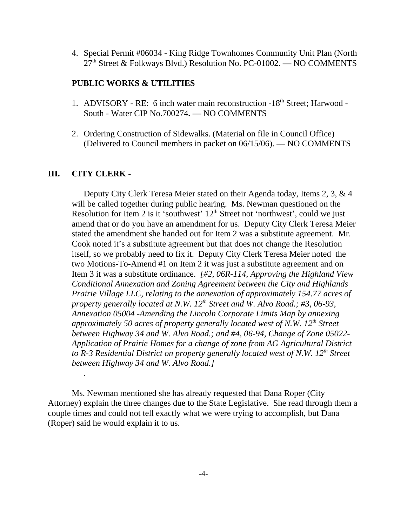4. Special Permit #06034 - King Ridge Townhomes Community Unit Plan (North 27th Street & Folkways Blvd.) Resolution No. PC-01002. **—** NO COMMENTS

#### **PUBLIC WORKS & UTILITIES**

- 1. ADVISORY RE: 6 inch water main reconstruction -18<sup>th</sup> Street; Harwood -South - Water CIP No.700274**. —** NO COMMENTS
- 2. Ordering Construction of Sidewalks. (Material on file in Council Office) (Delivered to Council members in packet on 06/15/06). — NO COMMENTS

#### **III. CITY CLERK -**

.

Deputy City Clerk Teresa Meier stated on their Agenda today, Items 2, 3, & 4 will be called together during public hearing. Ms. Newman questioned on the Resolution for Item 2 is it 'southwest'  $12<sup>th</sup>$  Street not 'northwest', could we just amend that or do you have an amendment for us. Deputy City Clerk Teresa Meier stated the amendment she handed out for Item 2 was a substitute agreement. Mr. Cook noted it's a substitute agreement but that does not change the Resolution itself, so we probably need to fix it. Deputy City Clerk Teresa Meier noted the two Motions-To-Amend #1 on Item 2 it was just a substitute agreement and on Item 3 it was a substitute ordinance. *[#2, 06R-114, Approving the Highland View Conditional Annexation and Zoning Agreement between the City and Highlands Prairie Village LLC, relating to the annexation of approximately 154.77 acres of property generally located at N.W. 12<sup>th</sup> Street and W. Alvo Road.; #3, 06-93, Annexation 05004 -Amending the Lincoln Corporate Limits Map by annexing approximately 50 acres of property generally located west of N.W. 12th Street between Highway 34 and W. Alvo Road.; and #4, 06-94, Change of Zone 05022- Application of Prairie Homes for a change of zone from AG Agricultural District to R-3 Residential District on property generally located west of N.W. 12th Street between Highway 34 and W. Alvo Road.]* 

Ms. Newman mentioned she has already requested that Dana Roper (City Attorney) explain the three changes due to the State Legislative. She read through them a couple times and could not tell exactly what we were trying to accomplish, but Dana (Roper) said he would explain it to us.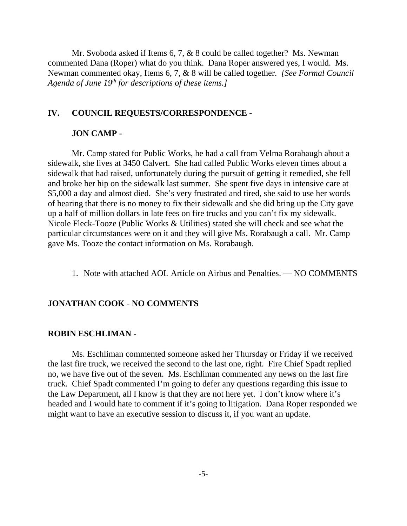Mr. Svoboda asked if Items 6, 7, & 8 could be called together? Ms. Newman commented Dana (Roper) what do you think. Dana Roper answered yes, I would. Ms. Newman commented okay, Items 6, 7, & 8 will be called together. *[See Formal Council Agenda of June 19th for descriptions of these items.]* 

#### **IV. COUNCIL REQUESTS/CORRESPONDENCE -**

#### **JON CAMP -**

Mr. Camp stated for Public Works, he had a call from Velma Rorabaugh about a sidewalk, she lives at 3450 Calvert. She had called Public Works eleven times about a sidewalk that had raised, unfortunately during the pursuit of getting it remedied, she fell and broke her hip on the sidewalk last summer. She spent five days in intensive care at \$5,000 a day and almost died. She's very frustrated and tired, she said to use her words of hearing that there is no money to fix their sidewalk and she did bring up the City gave up a half of million dollars in late fees on fire trucks and you can't fix my sidewalk. Nicole Fleck-Tooze (Public Works & Utilities) stated she will check and see what the particular circumstances were on it and they will give Ms. Rorabaugh a call. Mr. Camp gave Ms. Tooze the contact information on Ms. Rorabaugh.

1. Note with attached AOL Article on Airbus and Penalties. — NO COMMENTS

#### **JONATHAN COOK** - **NO COMMENTS**

#### **ROBIN ESCHLIMAN -**

Ms. Eschliman commented someone asked her Thursday or Friday if we received the last fire truck, we received the second to the last one, right. Fire Chief Spadt replied no, we have five out of the seven. Ms. Eschliman commented any news on the last fire truck. Chief Spadt commented I'm going to defer any questions regarding this issue to the Law Department, all I know is that they are not here yet. I don't know where it's headed and I would hate to comment if it's going to litigation. Dana Roper responded we might want to have an executive session to discuss it, if you want an update.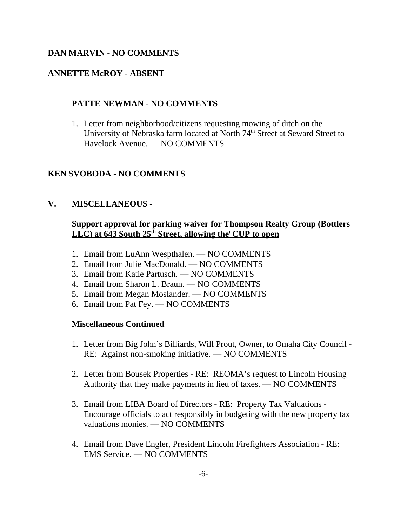# **DAN MARVIN - NO COMMENTS**

# **ANNETTE McROY - ABSENT**

# **PATTE NEWMAN - NO COMMENTS**

1. Letter from neighborhood/citizens requesting mowing of ditch on the University of Nebraska farm located at North 74<sup>th</sup> Street at Seward Street to Havelock Avenue. — NO COMMENTS

# **KEN SVOBODA** - **NO COMMENTS**

# **V. MISCELLANEOUS** -

# **Support approval for parking waiver for Thompson Realty Group (Bottlers LLC) at 643 South 25th Street, allowing the**0 **CUP to open**

- 1. Email from LuAnn Wespthalen. NO COMMENTS
- 2. Email from Julie MacDonald. NO COMMENTS
- 3. Email from Katie Partusch. NO COMMENTS
- 4. Email from Sharon L. Braun. NO COMMENTS
- 5. Email from Megan Moslander. NO COMMENTS
- 6. Email from Pat Fey. NO COMMENTS

### **Miscellaneous Continued**

- 1. Letter from Big John's Billiards, Will Prout, Owner, to Omaha City Council RE: Against non-smoking initiative. — NO COMMENTS
- 2. Letter from Bousek Properties RE: REOMA's request to Lincoln Housing Authority that they make payments in lieu of taxes. — NO COMMENTS
- 3. Email from LIBA Board of Directors RE: Property Tax Valuations Encourage officials to act responsibly in budgeting with the new property tax valuations monies. — NO COMMENTS
- 4. Email from Dave Engler, President Lincoln Firefighters Association RE: EMS Service. — NO COMMENTS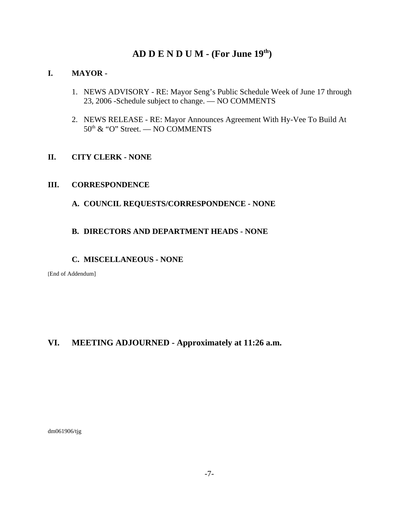# **AD D E N D U M - (For June 19th)**

#### **I. MAYOR -**

- 1. NEWS ADVISORY RE: Mayor Seng's Public Schedule Week of June 17 through 23, 2006 -Schedule subject to change. — NO COMMENTS
- 2. NEWS RELEASE RE: Mayor Announces Agreement With Hy-Vee To Build At  $50<sup>th</sup>$  & "O" Street. — NO COMMENTS

#### **II. CITY CLERK - NONE**

#### **III. CORRESPONDENCE**

**A. COUNCIL REQUESTS/CORRESPONDENCE - NONE**

#### **B. DIRECTORS AND DEPARTMENT HEADS - NONE**

#### **C. MISCELLANEOUS - NONE**

[End of Addendum]

# **VI. MEETING ADJOURNED - Approximately at 11:26 a.m.**

dm061906/tjg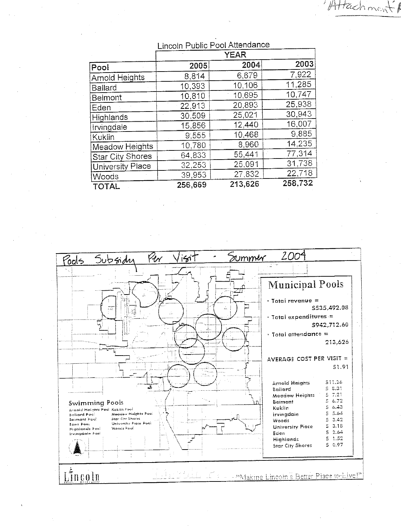|                         | <b>YEAR</b> |         |         |
|-------------------------|-------------|---------|---------|
| Pool                    | 2005        | 2004    | 2003    |
| <b>Arnold Heights</b>   | 8,814       | 6,679   | 7,922   |
| <b>Ballard</b>          | 10,393      | 10,106  | 11,285  |
| Belmont                 | 10.810      | 10,695  | 10,747  |
| Eden                    | 22,913      | 20,893  | 25,938  |
| Highlands               | 30,509      | 25,021  | 30,943  |
| Irvingdale              | 15,856      | 12,440  | 16,007  |
| Kuklin                  | 9,555       | 10,468  | 9,885   |
| Meadow Heights          | 10,780      | 8,960   | 14,235  |
| <b>Star City Shores</b> | 64,833      | 55,441  | 77,314  |
| <b>University Place</b> | 32,253      | 25.091  | 31,738  |
| Woods                   | 39,953      | 27 832  | 22,718  |
| <b>TOTAL</b>            | 256,669     | 213.626 | 258,732 |

# Lincoln Public Pool Attendance

Attachment